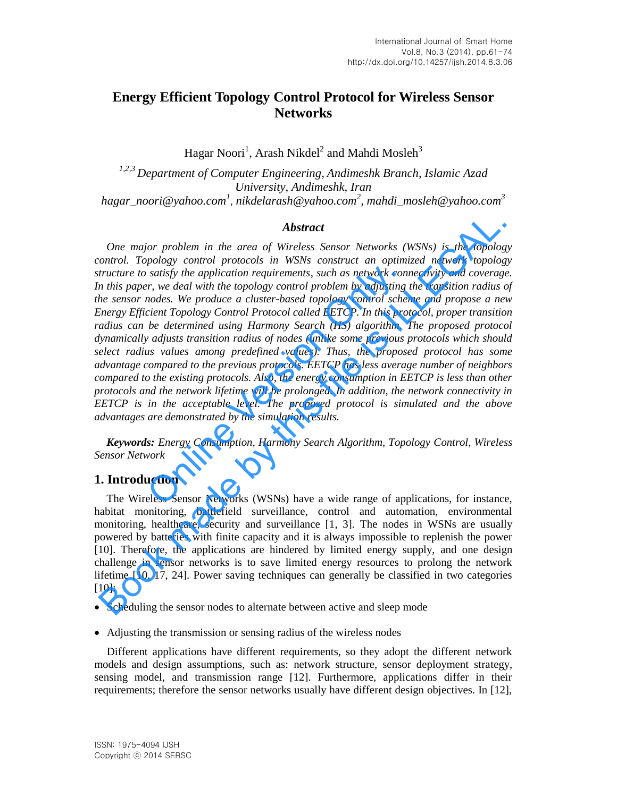# **Energy Efficient Topology Control Protocol for Wireless Sensor Networks**

Hagar Noori<sup>1</sup>, Arash Nikdel<sup>2</sup> and Mahdi Mosleh<sup>3</sup>

*1,2,3 Department of Computer Engineering, Andimeshk Branch, Islamic Azad University, Andimeshk, Iran hagar\_noori@yahoo.com<sup>1</sup>* , *nikdelarash@yahoo.com<sup>2</sup> , mahdi\_mosleh@yahoo.com<sup>3</sup>*

#### *Abstract*

*One major problem in the area of Wireless Sensor Networks (WSNs) is the topology control. Topology control protocols in WSNs construct an optimized network topology structure to satisfy the application requirements, such as network connectivity and coverage.*  In this paper, we deal with the topology control problem by adjusting the transition radius of *the sensor nodes. We produce a cluster-based topology control scheme and propose a new Energy Efficient Topology Control Protocol called EETCP. In this protocol, proper transition*  radius can be determined using Harmony Search (HS) algorithm. The proposed protocol *dynamically adjusts transition radius of nodes (unlike some previous protocols which should select radius values among predefined values). Thus, the proposed protocol has some advantage compared to the previous protocols. EETCP has less average number of neighbors compared to the existing protocols. Also, the energy consumption in EETCP is less than other protocols and the network lifetime will be prolonged. In addition, the network connectivity in EETCP is in the acceptable level. The proposed protocol is simulated and the above advantages are demonstrated by the simulation results.*  satisfy the application requirements, such as network con<br>r, we deal with the topology control problem by adjusting<br>nodes. We produce a cluster-based topology control scheer<br>cient Topology Control Protocol called EETCP. In **Abstract**<br> **Abstract**<br> **Convertion** the area of Wireless Sensor Networks (WSNs) is the topology control. Topology control protocols in WSNs construct an optimized network topology control protocols with the topology cont

*Keywords: Energy Consumption, Harmony Search Algorithm, Topology Control, Wireless Sensor Network* 

# **1. Introduction**

The Wireless Sensor Networks (WSNs) have a wide range of applications, for instance, habitat monitoring, battlefield surveillance, control and automation, environmental monitoring, healthcare, security and surveillance [1, 3]. The nodes in WSNs are usually powered by batteries with finite capacity and it is always impossible to replenish the power [10]. Therefore, the applications are hindered by limited energy supply, and one design challenge in sensor networks is to save limited energy resources to prolong the network lifetime [10, 17, 24]. Power saving techniques can generally be classified in two categories [10]:

- Scheduling the sensor nodes to alternate between active and sleep mode
- Adjusting the transmission or sensing radius of the wireless nodes

Different applications have different requirements, so they adopt the different network models and design assumptions, such as: network structure, sensor deployment strategy, sensing model, and transmission range [12]. Furthermore, applications differ in their requirements; therefore the sensor networks usually have different design objectives. In [12],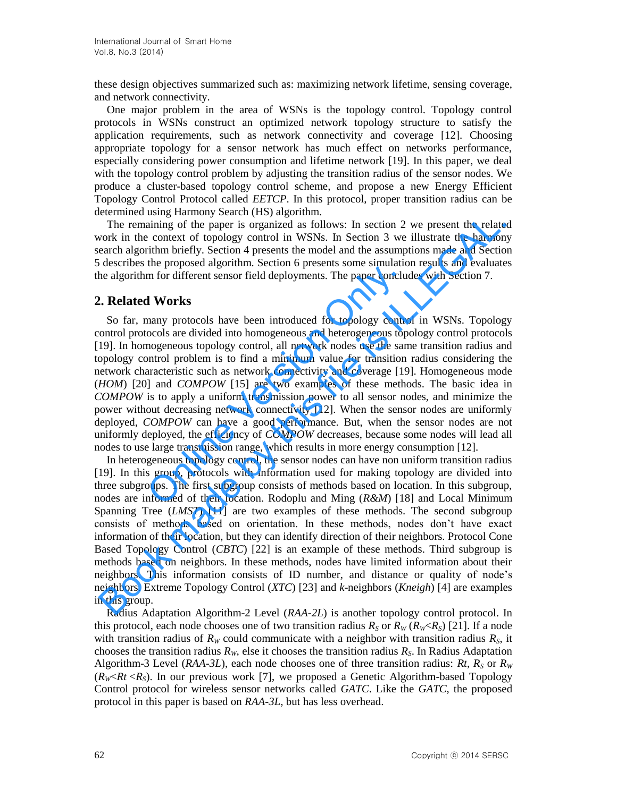these design objectives summarized such as: maximizing network lifetime, sensing coverage, and network connectivity.

One major problem in the area of WSNs is the topology control. Topology control protocols in WSNs construct an optimized network topology structure to satisfy the application requirements, such as network connectivity and coverage [12]. Choosing appropriate topology for a sensor network has much effect on networks performance, especially considering power consumption and lifetime network [19]. In this paper, we deal with the topology control problem by adjusting the transition radius of the sensor nodes. We produce a cluster-based topology control scheme, and propose a new Energy Efficient Topology Control Protocol called *EETCP*. In this protocol, proper transition radius can be determined using Harmony Search (HS) algorithm.

The remaining of the paper is organized as follows: In section 2 we present the related work in the context of topology control in WSNs. In Section 3 we illustrate the harmony search algorithm briefly. Section 4 presents the model and the assumptions made and Section 5 describes the proposed algorithm. Section 6 presents some simulation results and evaluates the algorithm for different sensor field deployments. The paper concludes with Section 7.

## **2. Related Works**

So far, many protocols have been introduced for topology control in WSNs. Topology control protocols are divided into homogeneous and heterogeneous topology control protocols [19]. In homogeneous topology control, all network nodes use the same transition radius and topology control problem is to find a minimum value for transition radius considering the network characteristic such as network connectivity and coverage [19]. Homogeneous mode (*HOM*) [20] and *COMPOW* [15] are two examples of these methods. The basic idea in *COMPOW* is to apply a uniform transmission power to all sensor nodes, and minimize the power without decreasing network connectivity [12]. When the sensor nodes are uniformly deployed, *COMPOW* can have a good performance. But, when the sensor nodes are not uniformly deployed, the efficiency of *COMPOW* decreases, because some nodes will lead all nodes to use large transmission range, which results in more energy consumption [12]. In Social of presents of the paper concluded for the paper concluded for the paper concluded for the paper concluded for the paper concluded cools are divided into homogeneous and heterogeneous top mogeneous topology cont

In heterogeneous topology control, the sensor nodes can have non uniform transition radius [19]. In this group, protocols with information used for making topology are divided into three subgroups. The first subgroup consists of methods based on location. In this subgroup, nodes are informed of their location. Rodoplu and Ming (*R&M*) [18] and Local Minimum Spanning Tree (*LMST*) [11] are two examples of these methods. The second subgroup consists of methods based on orientation. In these methods, nodes don't have exact information of their location, but they can identify direction of their neighbors. Protocol Cone Based Topology Control (*CBTC*) [22] is an example of these methods. Third subgroup is methods based on neighbors. In these methods, nodes have limited information about their neighbors. This information consists of ID number, and distance or quality of node's neighbors. Extreme Topology Control (*XTC*) [23] and *k*-neighbors (*Kneigh*) [4] are examples in this group. External to the context of topology control in WSNs. In section 2 we present the relate<br>
The remaining of the paper is organized as follows: In section 2 we present the relate<br>
arch of the context of topology control in WS

Radius Adaptation Algorithm-2 Level (*RAA-2L*) is another topology control protocol. In this protocol, each node chooses one of two transition radius  $R_S$  or  $R_W(R_W < R_S)$  [21]. If a node with transition radius of  $R_W$  could communicate with a neighbor with transition radius  $R_S$ , it chooses the transition radius  $R_W$ , else it chooses the transition radius  $R_S$ . In Radius Adaptation Algorithm-3 Level (*RAA-3L*), each node chooses one of three transition radius: *Rt*,  $R_S$  or  $R_W$  $(R_W < Rt < R_S)$ . In our previous work [7], we proposed a Genetic Algorithm-based Topology Control protocol for wireless sensor networks called *GATC*. Like the *GATC*, the proposed protocol in this paper is based on *RAA-3L*, but has less overhead.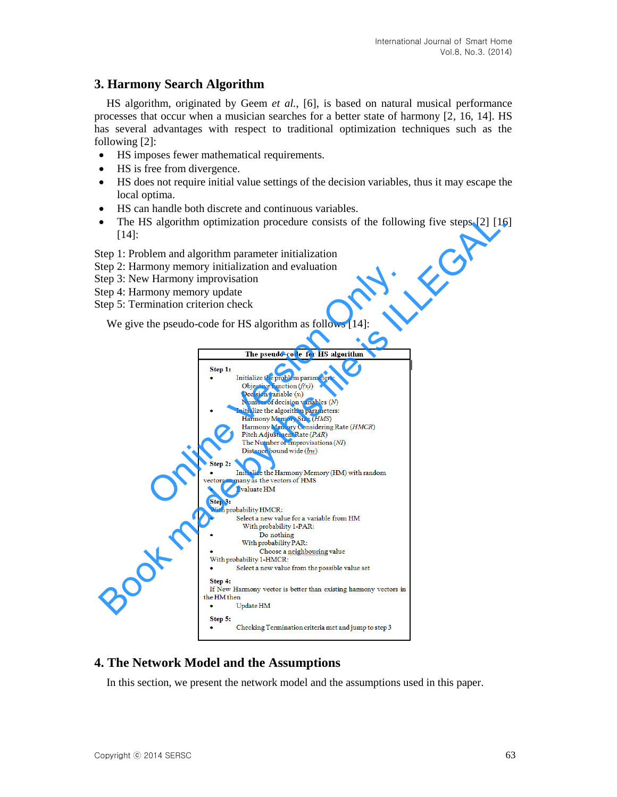# **3. Harmony Search Algorithm**

HS algorithm, originated by Geem *et al.*, [6], is based on natural musical performance processes that occur when a musician searches for a better state of harmony [2, 16, 14]. HS has several advantages with respect to traditional optimization techniques such as the following [2]:

- HS imposes fewer mathematical requirements.
- HS is free from divergence.
- HS does not require initial value settings of the decision variables, thus it may escape the local optima.
- HS can handle both discrete and continuous variables.
- The HS algorithm optimization procedure consists of the following five steps [2] [16] [14]:

Step 1: Problem and algorithm parameter initialization

Step 2: Harmony memory initialization and evaluation

Step 3: New Harmony improvisation

Step 4: Harmony memory update

Step 5: Termination criterion check

We give the pseudo-code for HS algorithm as follows [14]:



# **4. The Network Model and the Assumptions**

In this section, we present the network model and the assumptions used in this paper.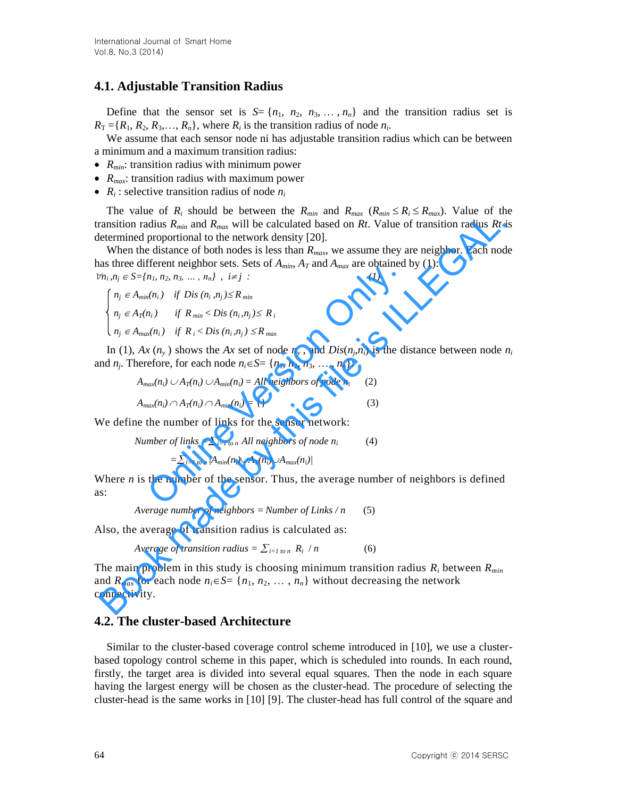# **4.1. Adjustable Transition Radius**

Define that the sensor set is  $S = \{n_1, n_2, n_3, ..., n_n\}$  and the transition radius set is  $R_T = \{R_1, R_2, R_3, \ldots, R_n\}$ , where  $R_i$  is the transition radius of node  $n_i$ .

We assume that each sensor node ni has adjustable transition radius which can be between a minimum and a maximum transition radius:

- *Rmin*: transition radius with minimum power
- *Rmax*: transition radius with maximum power
- $R_i$ : selective transition radius of node  $n_i$

The value of  $R_i$  should be between the  $R_{min}$  and  $R_{max}$  ( $R_{min} \le R_i \le R_{max}$ ). Value of the transition radius  $R_{min}$  and  $R_{max}$  will be calculated based on Rt. Value of transition radius Rt is determined proportional to the network density [20].

When the distance of both nodes is less than *Rmax*, we assume they are neighbor. Each node has three different neighbor sets. Sets of *Amin*, *A<sup>T</sup>* and *Amax* are obtained by (1):  $\forall n_i, n_i \in S = \{n_1, n_2, n_3, \dots, n_n\}$ ,  $i \neq j$  : (1)

in, 
$$
n_i \in S = \{n_1, n_2, n_3, ..., n_n\}
$$
,  $i \neq j$  : (1)  
\n
$$
\begin{cases}\nn_j \in A_{min}(n_i) & \text{if } Dis \ (n_i, n_j) \le R_{min} \\
n_j \in A_{min}(n_i) & \text{if } R_{min} < Dis \ (n_i, n_j) \le R_i \\
n_j \in A_{max}(n_i) & \text{if } R_i < Dis \ (n_i, n_j) \le R_i\n\end{cases}
$$
\nIn (1),  $Ax (n_y)$  shows the  $Ax$  set of node  $n_y$ , and  $Dis(n_j, n_i)$  is the di  
\nand  $n_j$ . Therefore, for each node  $n_i \in S = \{n_1, n_2, n_3, ..., n_n\}$ :  
\n
$$
A_{max}(n_i) \cup A_T(n_i) \cup A_{min}(n_i) = All neighbors of node n_i
$$
 (2)  
\n
$$
A_{max}(n_i) \cap A_T(n_i) \cap A_{min}(n_i) = \{\}
$$
 (3)  
\n
$$
i \in \text{define the number of links for the sensor network:}
$$
\n
$$
\text{Number of links } = \sum_{i=1 \text{ to } n} All neighbors of node n_i
$$
 (4)  
\n
$$
= \sum_{i=1 \text{ to } n} |A_{min}(n_i) \cup A_T(n_i) \cup A_{max}(n_i)|
$$
\n
$$
\text{There } n \text{ is the number of the sensor. Thus, the average number of six:}
$$

In (1),  $Ax(n_y)$  shows the  $Ax$  set of node  $n_y$ , and  $Dis(n_j, n_i)$  is the distance between node  $n_i$ and  $n_j$ . Therefore, for each node  $n_i \in S = \{n_1, n_2, n_3, \ldots, n_n\}$ :

$$
A_{max}(n_i) \cup A_T(n_i) \cup A_{min}(n_i) = All neighbors of node n_i \qquad (2)
$$

$$
A_{max}(n_i) \cap A_T(n_i) \cap A_{min}(n_i) = \{\}\tag{3}
$$

We define the number of links for the sensor network:

Number of links = 
$$
\sum_{i=1 \text{ to } n} All neighbors of node n_i
$$
 (4)

$$
=\sum_{i=1 \text{ to } n} |A_{min}(n_i) \cup A_{T}(n_i) \cup A_{max}(n_i)|
$$

Where *n* is the number of the sensor. Thus, the average number of neighbors is defined as:

 *Average number of neighbors = Number of Links / n* (5)

Also, the average of transition radius is calculated as:

*Average of transition radius =*  $\sum_{i=1 \text{ to } n} R_i / n$  *(6)* 

The main problem in this study is choosing minimum transition radius *R<sup>i</sup>* between *Rmin* and  $R_{max}$  for each node  $n_i \in S = \{n_1, n_2, \ldots, n_n\}$  without decreasing the network connectivity. Find that the proposition radius  $R_{\text{max}}$  considers the state of  $R$ . Value of transition radius  $R_i$ <br>telectromined by the network density [20].<br>
When the distance of both nodes is less than  $R_{\text{max}}$ , we assume they are

## **4.2. The cluster-based Architecture**

Similar to the cluster-based coverage control scheme introduced in [10], we use a clusterbased topology control scheme in this paper, which is scheduled into rounds. In each round, firstly, the target area is divided into several equal squares. Then the node in each square having the largest energy will be chosen as the cluster-head. The procedure of selecting the cluster-head is the same works in [10] [9]. The cluster-head has full control of the square and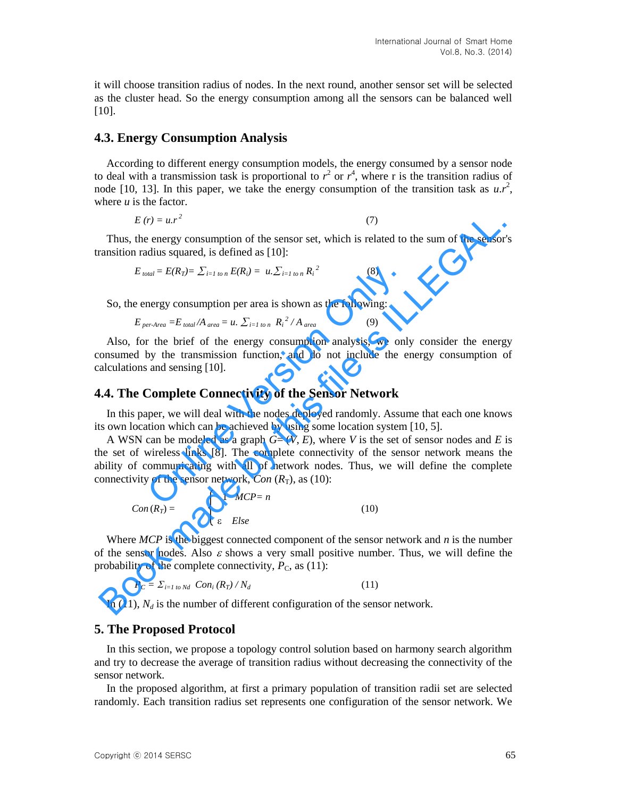it will choose transition radius of nodes. In the next round, another sensor set will be selected as the cluster head. So the energy consumption among all the sensors can be balanced well [10].

## **4.3. Energy Consumption Analysis**

According to different energy consumption models, the energy consumed by a sensor node to deal with a transmission task is proportional to  $r^2$  or  $r^4$ , where r is the transition radius of node [10, 13]. In this paper, we take the energy consumption of the transition task as  $u.r^2$ , where *u* is the factor.

$$
E(r) = u \cdot r^2 \tag{7}
$$

Thus, the energy consumption of the sensor set, which is related to the sum of the sensor's transition radius squared, is defined as [10]:

$$
E_{total} = E(R_T) = \sum_{i=1 \text{ to } n} E(R_i) = u \sum_{i=1 \text{ to } n} R_i^2 \tag{8}
$$

So, the energy consumption per area is shown as the following:

$$
E_{perArea} = E_{total}/A_{area} = u. \sum_{i=1 \text{ to } n} R_i^2 / A_{area}
$$
 (9)

Also, for the brief of the energy consumption analysis, we only consider the energy consumed by the transmission function, and do not include the energy consumption of calculations and sensing [10].

#### **4.4. The Complete Connectivity of the Sensor Network**

In this paper, we will deal with the nodes deployed randomly. Assume that each one knows its own location which can be achieved by using some location system [10, 5].

A WSN can be modeled as a graph  $G = (V, E)$ , where V is the set of sensor nodes and E is the set of wireless links [8]. The complete connectivity of the sensor network means the ability of communicating with all of network nodes. Thus, we will define the complete connectivity of the sensor network, *Con*  $(R_T)$ , as (10):  $\sum_{i=1}^{n} E(R_i) = \sum_{i=1}^{n} E(R_i) = u \sum_{i=1}^{n} R_i^2$  (8)<br>
nergy consumption per area is shown as the following:<br>
nergy consumption per area is shown as the following:<br>
only the brief of the energy consumption analysis, we only  $E(r) = u.r^2$ <br>
Thus, the energy consumption of the sensor set, which is related to the sum of the sensor<br>
ransition radius squared, is defined as [10]:<br>  $E_{\text{source}} = E(Rr) = \sum_{i \neq \text{long}} E(R_i) = u.\sum_{i \neq \text{long}} R_i^2$  (8)<br>
So, the energy c

$$
Con(R_T) = \begin{cases} 1 & MCP = n \\ \varepsilon & Else \end{cases}
$$
 (10)

Where *MCP* is the biggest connected component of the sensor network and *n* is the number of the sensor nodes. Also  $\varepsilon$  shows a very small positive number. Thus, we will define the probability of the complete connectivity,  $P_c$ , as (11):

$$
P_C = \sum_{i=1 \text{ to } Nd} \text{Con}_i(R_T) / N_d \tag{11}
$$

In (11),  $N_d$  is the number of different configuration of the sensor network.

#### **5. The Proposed Protocol**

In this section, we propose a topology control solution based on harmony search algorithm and try to decrease the average of transition radius without decreasing the connectivity of the sensor network.

In the proposed algorithm, at first a primary population of transition radii set are selected randomly. Each transition radius set represents one configuration of the sensor network. We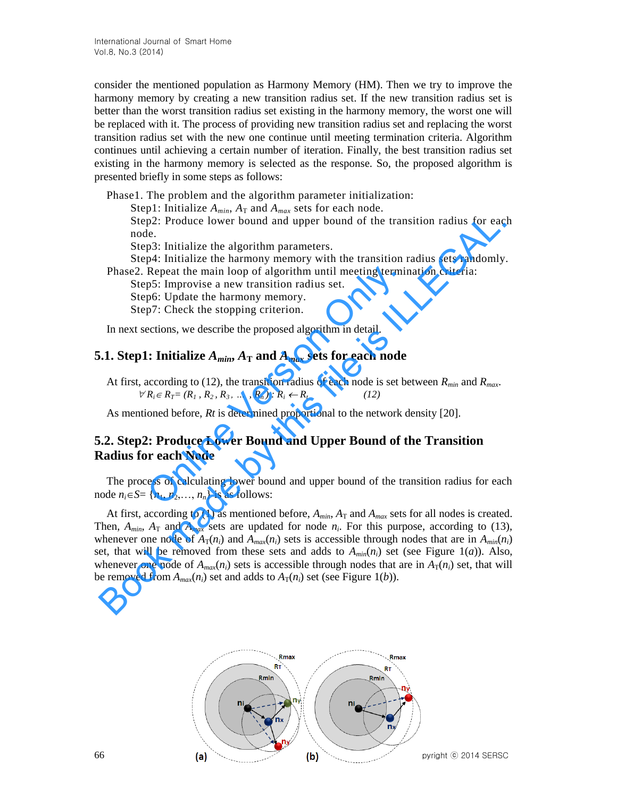consider the mentioned population as Harmony Memory (HM). Then we try to improve the harmony memory by creating a new transition radius set. If the new transition radius set is better than the worst transition radius set existing in the harmony memory, the worst one will be replaced with it. The process of providing new transition radius set and replacing the worst transition radius set with the new one continue until meeting termination criteria. Algorithm continues until achieving a certain number of iteration. Finally, the best transition radius set existing in the harmony memory is selected as the response. So, the proposed algorithm is presented briefly in some steps as follows:

Phase1. The problem and the algorithm parameter initialization:

Step1: Initialize  $A_{min}$ ,  $A_T$  and  $A_{max}$  sets for each node.

Step2: Produce lower bound and upper bound of the transition radius for each node.

Step3: Initialize the algorithm parameters.

Step4: Initialize the harmony memory with the transition radius sets randomly.

Phase2. Repeat the main loop of algorithm until meeting termination criteria:

Step5: Improvise a new transition radius set.

Step6: Update the harmony memory.

Step7: Check the stopping criterion.

In next sections, we describe the proposed algorithm in detail.

# **5.1. Step1: Initialize**  $A_{min}$ ,  $A_T$  and  $A_{max}$  sets for each node

At first, according to (12), the transition radius of each node is set between *Rmin* and *Rmax*.  $\nabla R_i \in R_T = (R_1, R_2, R_3, \ldots, R_n) : R_i \leftarrow R_t$  *(12)* 

As mentioned before, *Rt* is determined proportional to the network density [20].

# **5.2. Step2: Produce Lower Bound and Upper Bound of the Transition Radius for each Node**  Repeat the main loop of algorithm until meeting termin<br>p5: Improvise a new transition radius set.<br>p6: Update the harmony memory.<br>p7: Check the stopping criterion.<br>ections, we describe the proposed algorithm in detail.<br>**:**

The process of calculating lower bound and upper bound of the transition radius for each node  $n_i \in S$ =  $\{n_1, n_2, \ldots, n_n\}$  is as follows:

At first, according to (1) as mentioned before,  $A_{min}$ ,  $A_T$  and  $A_{max}$  sets for all nodes is created. Then,  $A_{min}$ ,  $A_T$  and  $A_{max}$  sets are updated for node  $n_i$ . For this purpose, according to (13), whenever one node of  $A_T(n_i)$  and  $A_{max}(n_i)$  sets is accessible through nodes that are in  $A_{min}(n_i)$ set, that will be removed from these sets and adds to  $A_{min}(n_i)$  set (see Figure 1(*a*)). Also, whenever one node of  $A_{max}(n_i)$  sets is accessible through nodes that are in  $A_T(n_i)$  set, that will be removed from  $A_{max}(n_i)$  set and adds to  $A_T(n_i)$  set (see Figure 1(*b*)). Step2: Produce lower bound and upper bound of the transition radius for eac<br>node.<br>
Step3: Initialize the algorithm parameters.<br>
Step4: Initialize the harmony memory with the transition radius sets randomly.<br>
Phase2. Repea

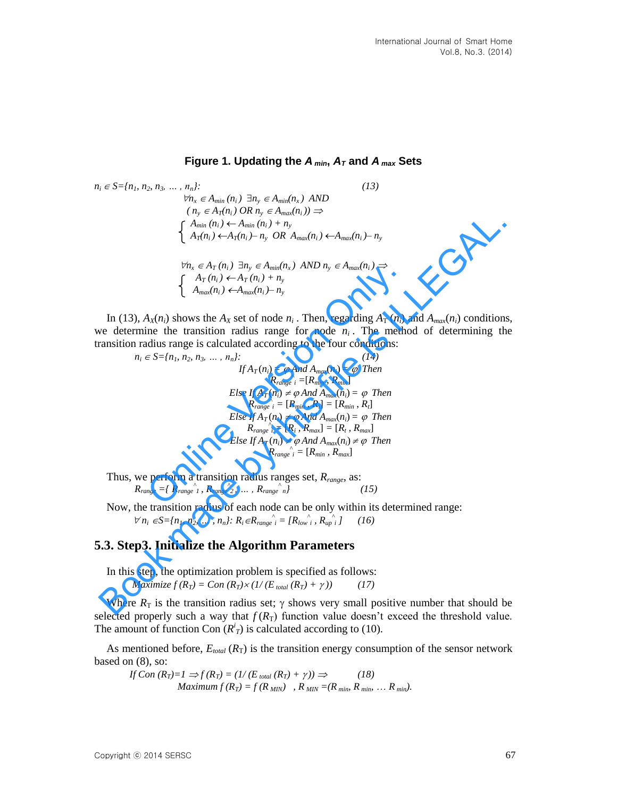# **Figure 1. Updating the**  $A_{min}$ **,**  $A_{T}$  **and**  $A_{max}$  **Sets**

$$
n_i \in S = \{n_1, n_2, n_3, \dots, n_n\}:
$$
\n
$$
\forall n_x \in A_{min}(n_i) \exists n_y \in A_{min}(n_x) \text{ AND}
$$
\n
$$
(n_y \in A_T(n_i) \text{ OR } n_y \in A_{max}(n_i)) \Rightarrow
$$
\n
$$
\begin{cases}\nA_{min}(n_i) \leftarrow A_{min}(n_i) + n_y \\
A_T(n_i) \leftarrow A_T(n_i) - n_y \text{ OR } A_{max}(n_i) \leftarrow A_{max}(n_i) - n_y\n\end{cases}
$$
\n
$$
\forall n_x \in A_T(n_i) \exists n_y \in A_{min}(n_x) \text{ AND } n_y \in A_{max}(n_i) \Rightarrow
$$
\n
$$
\begin{cases}\nA_T(n_i) \leftarrow A_T(n_i) + n_y \\
A_{max}(n_i) \leftarrow A_{max}(n_i) - n_y\n\end{cases}
$$
\n(13)\n(14)

In (13),  $A_X(n_i)$  shows the  $A_X$  set of node  $n_i$ . Then, regarding  $A_T(n_i)$  and  $A_{max}(n_i)$  conditions, we determine the transition radius range for node  $n_i$ . The method of determining the transition radius range is calculated according to the four conditions:

$$
\int_{R_{min}}^{R_{min}} (n_i) \leftarrow A_{min}(n_i) + n_y
$$
\n
$$
\int_{A_T(n_i)}^{R_{min}} (n_i) \leftarrow A_{min}(n_i) + n_y
$$
\n
$$
\int_{A_T(n_i)}^{R_{min}} (n_i) \leftarrow A_{min}(n_i) + n_y
$$
\n
$$
\int_{A_T(n_i)}^{R_{min}} (n_i) \leftarrow A_{min}(n_i) + n_y
$$
\n
$$
\int_{A_{max}}^{R_{min}} (n_i) \leftarrow A_{min}(n_i) + n_y
$$
\nIn (13),  $A_X(n_i)$  shows the  $A_X$  set of node  $n_i$ . Then, regarding  $A_T(n_i)$  and  $A_{max}(n_i)$  conditions.  
\nwe determine the transition radius range for node  $n_i$ . The method of determining the transition radius range is calculated according to the four conditions:  
\n $n_i \in S = \{n_i, n_2, n_3, \ldots, n_n\}$ :\n
$$
\int_{I}^{R_{T}(n_i)} \neq \emptyset \text{And } A_{max}(n_i) = \emptyset \text{ Then,}
$$
\n
$$
\int_{R_{max}}^{R_{max}} \leftarrow \frac{1 = \{R_{min}, R_{min}\}}{R_{min}} = \emptyset \text{ Then,}
$$
\n
$$
\int_{R_{max}}^{R_{max}} \leftarrow \frac{1 = \{R_{min}, R_{min}\}}{R_{min}} = \emptyset \text{ Then,}
$$
\n
$$
\int_{R_{max}}^{R_{max}} \leftarrow \frac{1 = \{R_{min}, R_{min}\}}{R_{min}} = \emptyset \text{ Then,}
$$
\n
$$
\int_{R_{max}}^{R_{max}} \leftarrow \frac{1 = \{R_{min}, R_{min}\}}{R_{min}} = \emptyset \text{ Then,}
$$
\n
$$
\int_{R_{max}}^{R_{max}} \leftarrow \frac{1 = \{R_{min}, R_{min}\}}{R_{min}} = \{R_{i}, R_{max}\}
$$
\n
$$
\int_{R_{max}}^{R_{max}} \leftarrow \frac{1 = \{R_{min}, R_{max}\}}{R_{max}} = \{R_{min}e^{R_{i}}, R_{max}\}
$$
\nThus, we perform a transition radius ranges set,  $R_{range}$ , as:  
\n
$$
R_{range} = \{R_{range} \mid R_{range} \mid R_{low} \mid R_{low} \mid
$$

- Thus, we perform a transition radius ranges set, *Rrange*, as:  $R_{range} = \{ R_{range} \land R_{range} \land R_{range} \land R_{range} \land R_{P} \}$  (15)
- Now, the transition radius of each node can be only within its determined range:  $\forall n_i \in S = \{n_1, n_2, ..., n_n\}: R_i \in R_{range}$   $\hat{i} = \{R_{low}^{\hat{i}}, R_{up}^{\hat{i}}\}$  (16)

## **5.3. Step3. Initialize the Algorithm Parameters**

In this step, the optimization problem is specified as follows:

$$
Maximize f(R_T) = Con (R_T) \times (1/(E_{total} (R_T) + \gamma)) \tag{17}
$$

Where  $R_T$  is the transition radius set;  $\gamma$  shows very small positive number that should be selected properly such a way that  $f(R_T)$  function value doesn't exceed the threshold value. The amount of function Con  $(R<sup>i</sup><sub>T</sub>)$  is calculated according to (10).

As mentioned before,  $E_{total}$  ( $R_T$ ) is the transition energy consumption of the sensor network based on (8), so:

If Con 
$$
(R_T)=1 \Rightarrow f(R_T) = (1/(E_{total}(R_T) + \gamma)) \Rightarrow (18)
$$
  
\nMaximum  $f(R_T) = f(R_{MIN})$ ,  $R_{MIN} = (R_{min}, R_{min}, \dots, R_{min})$ .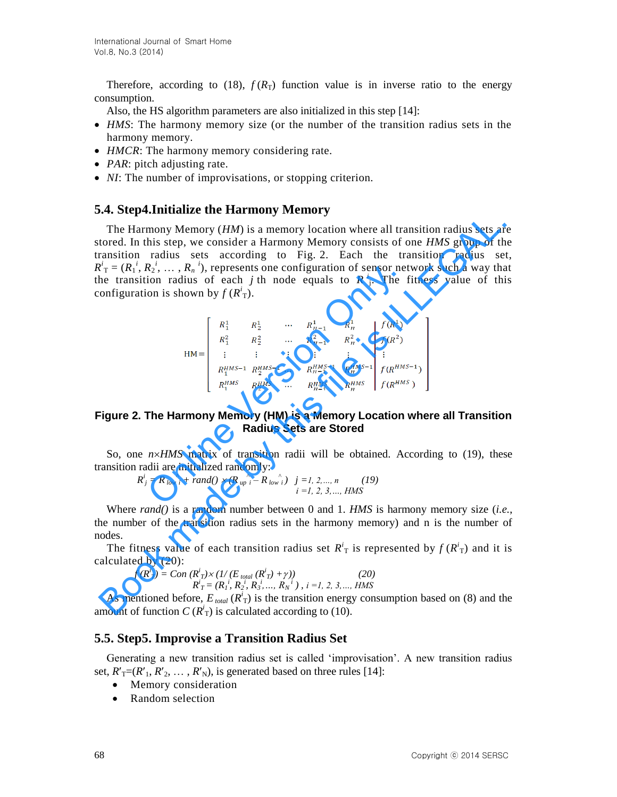Therefore, according to (18),  $f(R_T)$  function value is in inverse ratio to the energy consumption.

Also, the HS algorithm parameters are also initialized in this step [14]:

- *HMS*: The harmony memory size (or the number of the transition radius sets in the harmony memory.
- *HMCR*: The harmony memory considering rate.
- *PAR*: pitch adjusting rate.
- *NI*: The number of improvisations, or stopping criterion.

#### **5.4. Step4.Initialize the Harmony Memory**

The Harmony Memory (*HM*) is a memory location where all transition radius sets are stored. In this step, we consider a Harmony Memory consists of one *HMS* group of the transition radius sets according to Fig. 2. Each the transition radius set,  $R^i$ <sub>T</sub> =  $(R_1^i, R_2^i, \ldots, R_n^i)$ , represents one configuration of sensor network such a way that the transition radius of each *j* th node equals to  $R_i^i$ . The fitness value of this configuration is shown by  $f(R^i_T)$ . The Harmony Memory (*FIM*) is a memory location where all transition radius sets an<br>
transition radius sets are order a Harmony Memory consists of one *HMS* group of the<br>
ransition radius sets a cocording to Fig. 2. Each

R<sub>2</sub>, ..., R<sub>n</sub>'), represents one configuration of sensor network  
ion radius of each *j* th node equals to R<sup>*i*</sup><sub>j</sub>. The fitne  
on is shown by 
$$
f(R^i_T)
$$
.  
  
\nHM=
$$
\begin{bmatrix}\nR_1^1 & R_2^1 & \cdots & R_{n-1}^1 & R_n^1 \\
R_1^2 & R_2^2 & \cdots & R_{n-1}^2 & R_n^2 \\
\vdots & \vdots & \vdots & \vdots & \vdots \\
R_1^{HMS-1} & R_2^{HMS-1} & \cdots & R_m^{HMS-1} & R_m^{HMS-1} \\
R_1^{HMS} & R_2^{HMS} & \cdots & R_{n-1}^{HMS} & R_m^{HMS}\n\end{bmatrix}\nf(R^{HMS})
$$
  
\nThe Harmony Memory (HM) is a Memory Location who  
\nRadius Sets are Stored  
\n $n \times HMS$  matrix of transition radii will be obtained. According  
\n $n \times HMS$  matrix of transition radii will be obtained. According  
\n $i = R_{low}{}^{k_1}_{i} + rand() \times (R_{up}{}^{k_1}_{i} - R_{low}{}^{k_1}_{i}) \quad j = 1, 2, ..., n$  (19)  
\n $i = 1, 2, 3, ..., HMS$ 

#### **Figure 2. The Harmony Memory (HM) is a Memory Location where all Transition Radius Sets are Stored**

So, one  $n \times HMS$  matrix of transition radii will be obtained. According to (19), these transition radii are initialized randomly:

$$
R^{i}_{j} = R_{low}{}^{^{\wedge}}_{i} + rand() \times (R_{up}{}^{^{\wedge}}_{i} - R_{low}{}^{^{\wedge}}_{i}) \quad j = 1, 2, ..., n \quad (19)
$$
  
  $i = 1, 2, 3, ..., HMS$ 

Where *rand()* is a random number between 0 and 1. *HMS* is harmony memory size (*i.e.*, the number of the transition radius sets in the harmony memory) and n is the number of nodes.

The fitness value of each transition radius set  $R_{\text{T}}^i$  is represented by  $f(R_{\text{T}}^i)$  and it is calculated by (20):

$$
f(R^{i}_{T}) = Con \ (R^{i}_{T}) \times (1/(E_{total} (R^{i}_{T}) + \gamma)) \qquad (20)
$$
  

$$
R^{i}_{T} = (R^{i}_{I}, R^{i}_{2}, R^{i}_{3}, ..., R^{i}_{N}) , i = I, 2, 3, ..., HMS
$$

As mentioned before,  $E_{total} (R<sup>i</sup><sub>T</sub>)$  is the transition energy consumption based on (8) and the amount of function  $C(R^i_T)$  is calculated according to (10).

## **5.5. Step5. Improvise a Transition Radius Set**

Generating a new transition radius set is called 'improvisation'. A new transition radius set,  $R'_T=(R'_1, R'_2, \ldots, R'_N)$ , is generated based on three rules [14]:

- Memory consideration
- Random selection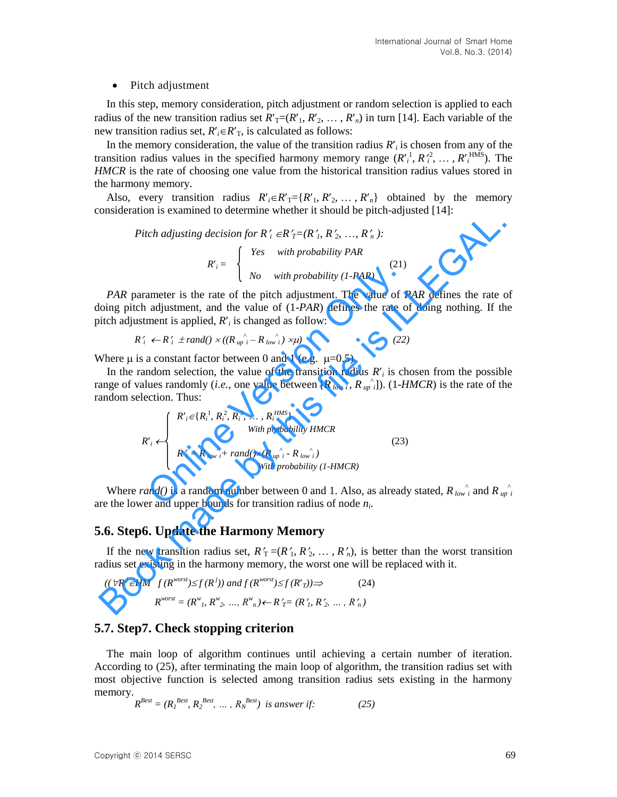#### • Pitch adjustment

In this step, memory consideration, pitch adjustment or random selection is applied to each radius of the new transition radius set  $R'_{\text{T}}=(R'_{1}, R'_{2}, \ldots, R'_{n})$  in turn [14]. Each variable of the new transition radius set,  $R_i \in R_{\text{T}}$ , is calculated as follows:

In the memory consideration, the value of the transition radius *R<sup>i</sup>* is chosen from any of the transition radius values in the specified harmony memory range  $(R'_i, R'^2_i, \ldots, R'^{\text{HMS}}_i)$ . The *HMCR* is the rate of choosing one value from the historical transition radius values stored in the harmony memory.

Also, every transition radius  $R'_{i} \in R'_{i} = \{R'_{i}, R'_{i}, \ldots, R'_{n}\}$  obtained by the memory consideration is examined to determine whether it should be pitch-adjusted [14]:

Pitch adjusting decision for 
$$
R'_i \in R'_T = (R'_i, R'_2, \ldots, R'_n)
$$
:

\n
$$
R'_i = \begin{cases} Yes & with probability PAR \\ No & with probability (1-PAR) \end{cases} \tag{21}
$$

*PAR* parameter is the rate of the pitch adjustment. The value of *PAR* defines the rate of doing pitch adjustment, and the value of (1-*PAR*) defines the rate of doing nothing. If the pitch adjustment is applied, *R<sup>i</sup>* is changed as follow:

$$
R'_{i} \leftarrow R'_{i} \pm rand() \times ((R_{up}^{\wedge_{i}} - R_{low}^{\wedge_{i}}) \times \mu)
$$
 (22)

Where  $\mu$  is a constant factor between 0 and 1 (e.g.  $\mu=0.5$ ).

In the random selection, the value of the transition radius  $R_i$  is chosen from the possible range of values randomly (*i.e.*, one value between  $[R_{low}^{\wedge}i, R_{up}^{\wedge}i]$ ). (1-*HMCR*) is the rate of the random selection. Thus:

Pitch adjusting decision for 
$$
R'_i \in R'_i = R'_{i-1}, R'_2, ..., R'_n
$$
):\n
$$
R'_i = \begin{cases}\nY_{es} & \text{with probability } PR \\
N_0 & \text{with probability } (1-PAR) \\
N_0 & \text{with probability } (1-PAR)\n\end{cases}
$$
\n(21)\n
$$
PAR \text{ parameter is the rate of the pitch adjustment. The value of } PAR \text{ defines the rate of } \text{Isomorphism, and the value of } (1-PAR) \text{ defines the rate of } \text{Isomorphism, and the value of } (1-PAR) \text{ defines the rate of } \text{Isomorphism, and the value of } (1-PAR) \text{ defines the rate of } \text{Isomorphism, and the value of } (1-PAR) \text{ defines the rate of } \text{Isomorphism, and the value of } (1-PAR) \text{ defines the rate of } \text{Isomorphism, and the value of } (1-PAR) \text{ defines the rate of } \text{Isomorphism, and the value of } \text{Isomorphism, and the value of } \text{Isomorphism, and the value of the transition radius } R'_i \text{ is chosen from the possible image of values randomly (i.e., one value between } [R_{low}^i, R_{up}^i])
$$
.\n
$$
(1-HMCR) \text{ is the rate of the random selection. Thus:\n
$$
R'_i \leftarrow \begin{cases}\nR'_i \in \{R_i^1, R_i^2, R_i^3, ..., R_i^{RMS}\} & \text{with probability } HMCR \\
R'_i = R_{low}^i + \text{rand} \cup (R_{up}^i, R_{low}^i, R_{low}^i) & \text{with probability } (1-HMCR) \\
R'_i = R_{low}^i + \text{rand} \cup (R_{up}^i, R_{low}^i, R_{low}^i) & \text{with probability } (1-HMCR) \\
\text{where } \text{rand}(i) \text{ is a random number between } 0 \text{ and } 1. \text{ Also, as already stated, } R_{low}^i \text{ and } R_{up}^i \text{ are the lower and upper bounds for transition radius of } \text{inomorphism, and the value of the function  $R_{low}^i \text{ and } R_{low}^i \text{ and } R_{up}^i \text{ is the same as } R'_i \text{ is the same as } R'_i \text{ is the same as } R'_i \text{ is the same as } R'_i \text{ is the same as } R'_i \text{ is the same as } R'_i \text{ is the same as } R'_i \$
$$
$$

Where *rand*(*)* is a random number between 0 and 1. Also, as already stated,  $R_{low}$ <sup>2</sup> and  $R_{up}$ <sup>2</sup> are the lower and upper bounds for transition radius of node *n<sup>i</sup>* .

## **5.6. Step6. Update the Harmony Memory**

If the new transition radius set,  $R'_T = (R'_1, R'_2, \ldots, R'_n)$ , is better than the worst transition radius set existing in the harmony memory, the worst one will be replaced with it.

$$
((\forall R^j \in HM \ f(R^{worst}) \le f(R^j)) \ and \ f(R^{worst}) \le f(R^r_T)) \Rightarrow
$$
  
\n
$$
R^{worst} = (R^w_L, R^w_L, ..., R^w_R) \leftarrow R^r_T = (R^r_L, R^r_L, ..., R^r_R)
$$
\n
$$
(24)
$$

## **5.7. Step7. Check stopping criterion**

The main loop of algorithm continues until achieving a certain number of iteration. According to (25), after terminating the main loop of algorithm, the transition radius set with most objective function is selected among transition radius sets existing in the harmony memory.

$$
R^{Best} = (R_1^{Best}, R_2^{Best}, \dots, R_N^{Best}) \text{ is answer if:}
$$
 (25)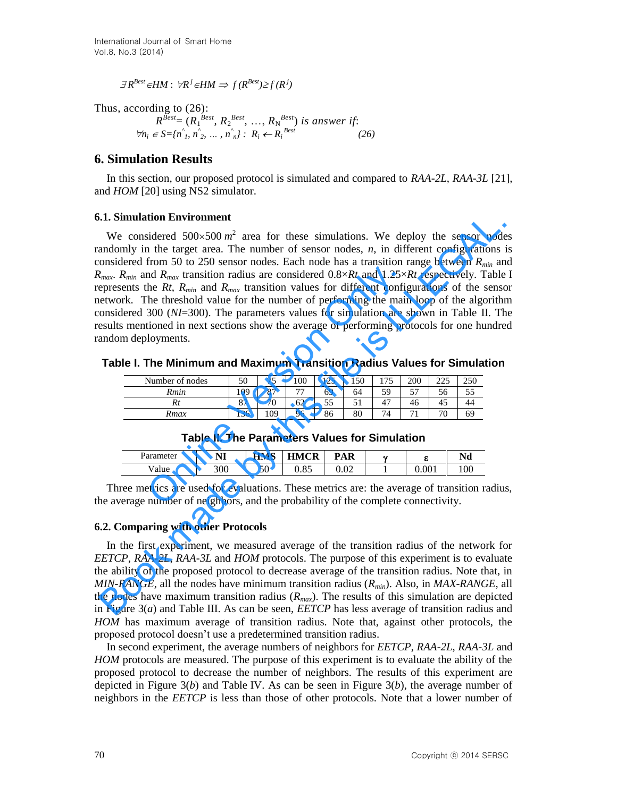$\exists R^{Best} \in HM: \ \forall R^{j} \in HM \ \Rightarrow \ f(R^{Best}) \geq f(R^{j})$ 

Thus, according to (26):

$$
R^{\overline{Best}} = (R_1^{\overline{Best}}, R_2^{\overline{Best}}, \dots, R_N^{\overline{Best}}) \text{ is answer if:}
$$
  

$$
\forall n_i \in S = \{n \in \{n \in \mathbb{N}, n \in \mathbb{N} \} : R_i \leftarrow R_i^{\overline{Best}} \tag{26}
$$

## **6. Simulation Results**

In this section, our proposed protocol is simulated and compared to *RAA-2L*, *RAA-3L* [21], and *HOM* [20] using NS2 simulator.

## **6.1. Simulation Environment**

We considered  $500 \times 500 \, m^2$  area for these simulations. We deploy the sensor nodes randomly in the target area. The number of sensor nodes, *n*, in different configurations is considered from 50 to 250 sensor nodes. Each node has a transition range between *Rmin* and *Rmax*. *Rmin* and *Rmax* transition radius are considered 0.8×*Rt* and 1.25×*Rt* respectively. Table I represents the *Rt*, *Rmin* and *Rmax* transition values for different configurations of the sensor network. The threshold value for the number of performing the main loop of the algorithm considered 300 (*NI*=300). The parameters values for simulation are shown in Table II. The results mentioned in next sections show the average of performing protocols for one hundred random deployments. and  $R_{max}$  transition radius are considered  $0.8 \times Rt$  and  $1.25 \times$ <br>the  $Rt$ ,  $R_{min}$  and  $R_{max}$  transition values for different configure<br>The threshold value for the number of performing the main<br>300 ( $NI=300$ ). The paramet **1.1. Simulation Environment**<br>
We considered 500x-500 *m*<sup>2</sup> area for these simulations. We deploy the sensor node<br>
andomly in the target area. The number of sensor nodes, *n*, in different configurations in<br>
and band fla

**Table I. The Minimum and Maximum Transition Radius Values for Simulation** 

| Number of nodes | 50             | ◡                    | 100            | つく<br>رے ہ | 150    | $\overline{\phantom{a}}$<br>◡ | 200          | $\cap \cap \infty$<br>رے کے | 250  |
|-----------------|----------------|----------------------|----------------|------------|--------|-------------------------------|--------------|-----------------------------|------|
| Rmin            | 109            | O <sub>7</sub><br>O, | $\overline{a}$ | 69         | 64     | 59                            | ΕП           | 56                          | ر. ر |
| Rt              | $\Omega$<br>٥ı | 70<br>ν              | 62             | 55         | -<br>ັ | 47                            | 46           | 45                          | 44   |
| Rmax            | 136            | 109                  | 96             | 86         | 80     | 7/                            | $\mathbf{r}$ | 70                          | 69   |

**Table II. The Parameters Values for Simulation** 

| $\mathbf{r}$<br>Parameter | NI  | <b>HMS</b>    | <b>HMCR</b>                   | <b>PAR</b>     | $\sim$ | ۰     | Nd  |
|---------------------------|-----|---------------|-------------------------------|----------------|--------|-------|-----|
| alue                      | 300 | - -<br>◡<br>ັ | $O \subset$<br>$\sim$<br>J.OJ | $\cap$<br>∪.∪∠ |        | 0.001 | 100 |

Three metrics are used for evaluations. These metrics are: the average of transition radius, the average number of neighbors, and the probability of the complete connectivity.

#### **6.2. Comparing with other Protocols**

In the first experiment, we measured average of the transition radius of the network for *EETCP*, *RAA-2L*, *RAA-3L* and *HOM* protocols. The purpose of this experiment is to evaluate the ability of the proposed protocol to decrease average of the transition radius. Note that, in *MIN-RANGE*, all the nodes have minimum transition radius (*Rmin*). Also, in *MAX-RANGE*, all the nodes have maximum transition radius  $(R_{max})$ . The results of this simulation are depicted in Figure 3(*a*) and Table III. As can be seen, *EETCP* has less average of transition radius and *HOM* has maximum average of transition radius. Note that, against other protocols, the proposed protocol doesn't use a predetermined transition radius.

In second experiment, the average numbers of neighbors for *EETCP*, *RAA-2L*, *RAA-3L* and *HOM* protocols are measured. The purpose of this experiment is to evaluate the ability of the proposed protocol to decrease the number of neighbors. The results of this experiment are depicted in Figure 3(*b*) and Table IV. As can be seen in Figure 3(*b*), the average number of neighbors in the *EETCP* is less than those of other protocols. Note that a lower number of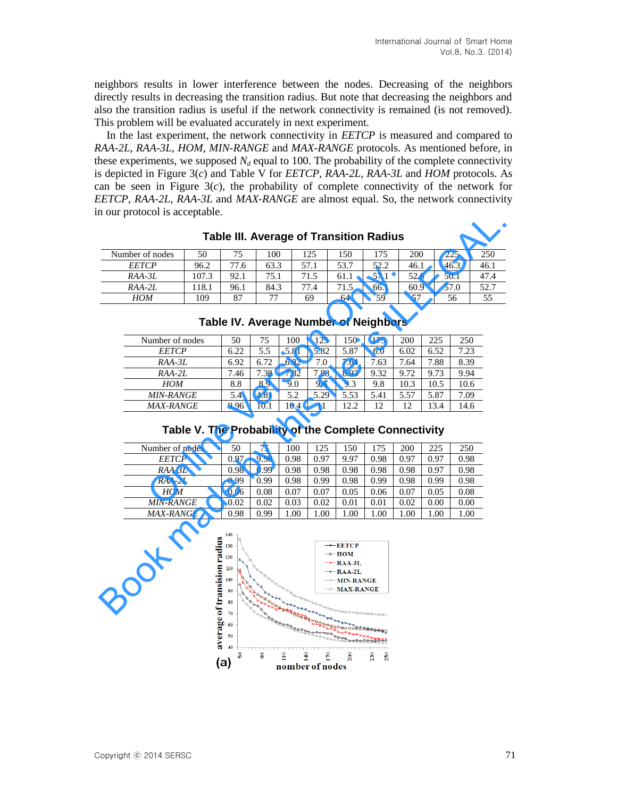neighbors results in lower interference between the nodes. Decreasing of the neighbors directly results in decreasing the transition radius. But note that decreasing the neighbors and also the transition radius is useful if the network connectivity is remained (is not removed). This problem will be evaluated accurately in next experiment.

In the last experiment, the network connectivity in *EETCP* is measured and compared to *RAA-2L*, *RAA-3L*, *HOM*, *MIN-RANGE* and *MAX-RANGE* protocols. As mentioned before, in these experiments, we supposed  $N_d$  equal to 100. The probability of the complete connectivity is depicted in Figure 3(*c*) and Table V for *EETCP*, *RAA-2L*, *RAA-3L* and *HOM* protocols. As can be seen in Figure  $3(c)$ , the probability of complete connectivity of the network for *EETCP*, *RAA-2L*, *RAA-3L* and *MAX-RANGE* are almost equal. So, the network connectivity in our protocol is acceptable.

| Number of nodes | 50    | 75       | 100  | 1つち<br>ر ے 1 | 150       | 175  | 200  | 225  | 250  |
|-----------------|-------|----------|------|--------------|-----------|------|------|------|------|
| <i>EETCP</i>    | 96.2  | די<br>6. | 63.3 | 57.1         | 53.7<br>− | 52.2 | 46.1 | 46.3 | 46.1 |
| $RAA-3L$        | 107.3 | 92.1     | 75.1 | 71.5         | 61.1      | 57.1 | 52.6 | 50.1 | 47.4 |
| $RAA-2L$        | 18.1  | 96.1     | 84.3 | 77<br>7.4    | ر. 1      | 66.1 | 60.9 | 57.0 | 52.7 |
| HOM             | 109   | 87       | 77   | 69           | 64        | 59   | 57   | 56   | 55   |

**Table III. Average of Transition Radius** 

| Number of nodes<br><b>EETCP</b><br>RAA-3L<br>RAA-2L<br><b>HOM</b>        | 96.2<br>107.3<br>118.1<br>109 | 77.6<br>92.1 | 100          |      | 125          | 150                                          | 175  | 200  |      | 250<br>225   |
|--------------------------------------------------------------------------|-------------------------------|--------------|--------------|------|--------------|----------------------------------------------|------|------|------|--------------|
|                                                                          |                               |              | 63.3         |      | 57.1         | 53.7                                         | 52.2 | 46.1 |      | 46.1<br>46.3 |
|                                                                          |                               |              | 75.1         |      | 71.5         | 61.1                                         | 57.1 | 52.6 |      | 47.4<br>50.1 |
|                                                                          |                               | 96.1         | 84.3         |      | 77.4         | 71.5                                         | 66.1 | 60.9 |      | 52.7<br>57.0 |
|                                                                          |                               | 87           | 77           |      | 69           | 64                                           | 59   | 57   |      | 56           |
|                                                                          |                               |              |              |      |              | <b>Table IV. Average Number of Neighbors</b> |      |      |      |              |
| Number of nodes                                                          |                               | 50           | 75           | 100  | 125          | 150                                          | 175  | 200  | 225  | 250          |
| <b>EETCP</b>                                                             |                               | 6.22         | 5.5          | 5.81 | 5.82         | 5.87                                         | 6.0  | 6.02 | 6.52 | 7.23         |
| $RAA-3L$                                                                 |                               | 6.92         | 6.72         | 6.82 | 7.0          | 7.64                                         | 7.63 | 7.64 | 7.88 | 8.39         |
| RAA-2L                                                                   |                               | 7.46         | 7.38         | 7.82 | 7.83         | 8.93                                         | 9.32 | 9.72 | 9.73 | 9.94         |
| <b>HOM</b>                                                               |                               | $8.8\,$      | 8.9          | 9.0  | 9.6          | 9.3                                          | 9.8  | 10.3 | 10.5 | 10.6         |
| MIN-RANGE                                                                |                               | 5.4          | 4.81         | 5.2  | 5.29         | 5.53                                         | 5.41 | 5.57 | 5.87 | 7.09         |
| <b>MAX-RANGE</b>                                                         |                               | 9.96         | 10.1         | 10.4 | 11           | 12.2                                         | 12   | 12   | 13.4 | 14.6         |
|                                                                          |                               |              |              |      |              |                                              |      |      |      |              |
| Table V. The Probability of the Complete Connectivity<br>Number of nodes |                               | 50           | 75           | 100  | 125          | 150                                          | 175  | 200  | 225  | 250          |
| <b>EETCP</b>                                                             |                               | 0.97         | 9.98         | 0.98 | 0.97         | 9.97                                         | 0.98 | 0.97 | 0.97 | 0.98         |
| RAA-3L                                                                   |                               | 0.98         | 0.99         | 0.98 | 0.98         | 0.98                                         | 0.98 | 0.98 | 0.97 | 0.98         |
| RAA-2L                                                                   |                               | 0.99         | 0.99         | 0.98 | 0.99         | 0.98                                         | 0.99 | 0.98 | 0.99 | 0.98         |
| <b>HOM</b>                                                               |                               | 0.06         | 0.08         | 0.07 | 0.07         | 0.05                                         | 0.06 | 0.07 | 0.05 | 0.08         |
| MIN-RANGE<br><b>MAX-RANGE</b>                                            |                               | 0.02<br>0.98 | 0.02<br>0.99 | 0.03 | 0.02<br>1.00 | 0.01                                         | 0.01 | 0.02 | 0.00 | 0.00         |

#### **Table IV. Average Number of Neighbors**

| Table V. The Probability of the Complete Connectivity |      |      |      |      |      |      |      |      |      |  |  |
|-------------------------------------------------------|------|------|------|------|------|------|------|------|------|--|--|
| Number of nodes                                       | 50   | 75   | 100  | 125  | 150  | 175  | 200  | 225  | 250  |  |  |
| <b>EETCP</b>                                          | 0.97 | 9.98 | 0.98 | 0.97 | 9.97 | 0.98 | 0.97 | 0.97 | 0.98 |  |  |
| $RAA-3L$                                              | 0.98 | 0.99 | 0.98 | 0.98 | 0.98 | 0.98 | 0.98 | 0.97 | 0.98 |  |  |
| $RAA-2L$                                              | 0.99 | 0.99 | 0.98 | 0.99 | 0.98 | 0.99 | 0.98 | 0.99 | 0.98 |  |  |
| <b>HOM</b>                                            | 0.06 | 0.08 | 0.07 | 0.07 | 0.05 | 0.06 | 0.07 | 0.05 | 0.08 |  |  |
| <b>MIN-RANGE</b>                                      | 0.02 | 0.02 | 0.03 | 0.02 | 0.01 | 0.01 | 0.02 | 0.00 | 0.00 |  |  |
| <b>MAX-RANGE</b>                                      | 0.98 | 0.99 | 1.00 | 1.00 | 1.00 | 1.00 | 1.00 | 1.00 | 1.00 |  |  |

#### 果麻果 윤 g  $\frac{30}{20}$ ೪ 8 읍  $\frac{8}{2}$ -80  $(a)$ nomber of nodes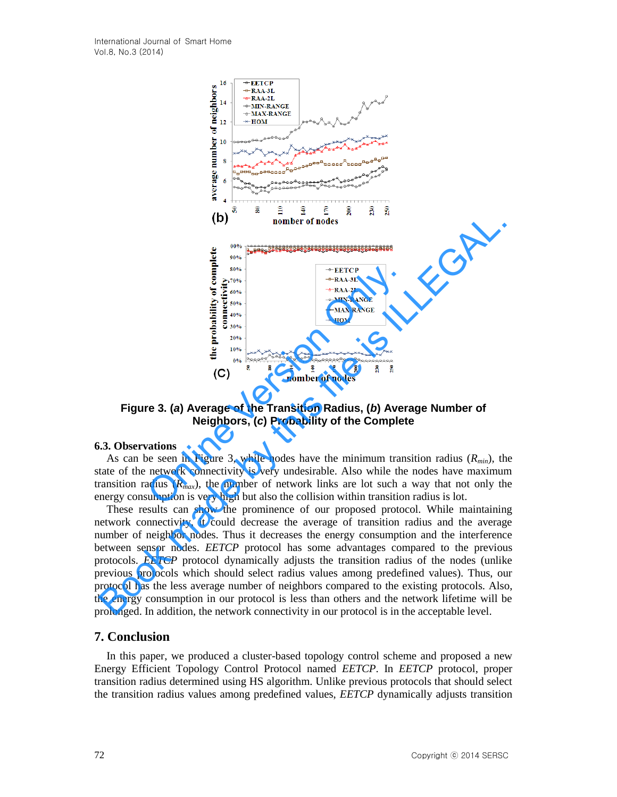

**Figure 3. (***a***) Average of the Transition Radius, (***b***) Average Number of Neighbors, (***c***) Probability of the Complete** 

#### **6.3. Observations**

As can be seen in Figure 3, while nodes have the minimum transition radius  $(R_{min})$ , the state of the network connectivity is very undesirable. Also while the nodes have maximum transition radius  $(R_{max})$ , the number of network links are lot such a way that not only the energy consumption is very high but also the collision within transition radius is lot.

These results can show the prominence of our proposed protocol. While maintaining network connectivity, it could decrease the average of transition radius and the average number of neighbor nodes. Thus it decreases the energy consumption and the interference between sensor nodes. *EETCP* protocol has some advantages compared to the previous protocols. *EETCP* protocol dynamically adjusts the transition radius of the nodes (unlike previous protocols which should select radius values among predefined values). Thus, our protocol has the less average number of neighbors compared to the existing protocols. Also, the energy consumption in our protocol is less than others and the network lifetime will be prolonged. In addition, the network connectivity in our protocol is in the acceptable level. (D) **In the contract a** control in the property of the **EXECT protocol** is the team of the interpretation of the property of the property of the complete term is a set of the **SALLEGAL CO** interpretation **C C** is the se

#### **7. Conclusion**

In this paper, we produced a cluster-based topology control scheme and proposed a new Energy Efficient Topology Control Protocol named *EETCP*. In *EETCP* protocol, proper transition radius determined using HS algorithm. Unlike previous protocols that should select the transition radius values among predefined values, *EETCP* dynamically adjusts transition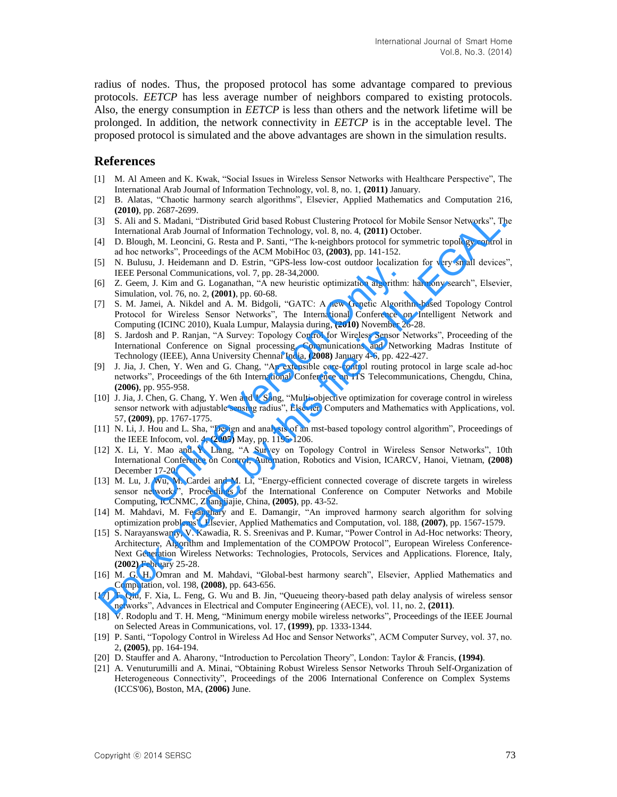radius of nodes. Thus, the proposed protocol has some advantage compared to previous protocols. *EETCP* has less average number of neighbors compared to existing protocols. Also, the energy consumption in *EETCP* is less than others and the network lifetime will be prolonged. In addition, the network connectivity in *EETCP* is in the acceptable level. The proposed protocol is simulated and the above advantages are shown in the simulation results.

## **References**

- [1] M. Al Ameen and K. Kwak, "Social Issues in Wireless Sensor Networks with Healthcare Perspective", The International Arab Journal of Information Technology, vol. 8, no. 1, **(2011)** January.
- [2] B. Alatas, "Chaotic harmony search algorithms", Elsevier, Applied Mathematics and Computation 216, **(2010)**, pp. 2687-2699.
- [3] S. Ali and S. Madani, "Distributed Grid based Robust Clustering Protocol for Mobile Sensor Networks", The International Arab Journal of Information Technology, vol. 8, no. 4, **(2011)** October.
- [4] D. Blough, M. Leoncini, G. Resta and P. Santi, "The k-neighbors protocol for symmetric topology control in ad hoc networks", Proceedings of the ACM MobiHoc 03, **(2003)**, pp. 141-152.
- [5] N. Bulusu, J. Heidemann and D. Estrin, "GPS-less low-cost outdoor localization for very small devices", IEEE Personal Communications, vol. 7, pp. 28-34,2000.
- [6] Z. Geem, J. Kim and G. Loganathan, "A new heuristic optimization algorithm: harmony search", Elsevier, Simulation, vol. 76, no. 2, **(2001)**, pp. 60-68.
- [7] S. M. Jamei, A. Nikdel and A. M. Bidgoli, "GATC: A new Genetic Algorithm-based Topology Control Protocol for Wireless Sensor Networks", The International Conference on Intelligent Network and Computing (ICINC 2010), Kuala Lumpur, Malaysia during, **(2010)** November 26-28.
- [8] S. Jardosh and P. Ranjan, "A Survey: Topology Control for Wireless Sensor Networks", Proceeding of the International Conference on Signal processing, Communications and Networking Madras Institute of Technology (IEEE), Anna University Chennai India, **(2008)** January 4-6, pp. 422-427.
- [9] J. Jia, J. Chen, Y. Wen and G. Chang, "An extensible core-control routing protocol in large scale ad-hoc networks", Proceedings of the 6th International Conference on ITS Telecommunications, Chengdu, China, **(2006)**, pp. 955-958.
- [10] J. Jia, J. Chen, G. Chang, Y. Wen and J. Song, "Multi-objective optimization for coverage control in wireless sensor network with adjustable sensing radius", Elsevier, Computers and Mathematics with Applications, vol. 57, **(2009)**, pp. 1767-1775. stronal Communications, vol. 7, pp. 28-34,2000.<br>
1, J. Kim and G. Loganathan, "A new heuristic optimization algorithm:<br>
on, vol. 76, no. 2, (2001), pp. 60-68.<br>
memi, A. Nikdel and A. M. Bidgoli, "GATC: A new Genetic Algori
- [11] N. Li, J. Hou and L. Sha, "Design and analysis of an mst-based topology control algorithm", Proceedings of the IEEE Infocom, vol. 4, **(2005)** May, pp. 1195-1206.
- [12] X. Li, Y. Mao and Y. Liang, "A Survey on Topology Control in Wireless Sensor Networks", 10th International Conference on Control, Automation, Robotics and Vision, ICARCV, Hanoi, Vietnam, **(2008)** December 17-20.
- [13] M. Lu, J. Wu, M. Cardei and M. Li, "Energy-efficient connected coverage of discrete targets in wireless sensor networks", Proceedings of the International Conference on Computer Networks and Mobile Computing, ICCNMC, Zhangjiajie, China, **(2005)**, pp. 43-52.
- [14] M. Mahdavi, M. Fesanghary and E. Damangir, "An improved harmony search algorithm for solving optimization problems", Elsevier, Applied Mathematics and Computation, vol. 188, **(2007)**, pp. 1567-1579.
- [15] S. Narayanswamy, V. Kawadia, R. S. Sreenivas and P. Kumar, "Power Control in Ad-Hoc networks: Theory, Architecture, Algorithm and Implementation of the COMPOW Protocol", European Wireless Conference-Next Generation Wireless Networks: Technologies, Protocols, Services and Applications. Florence, Italy, **(2002)** February 25-28. 3) S. Air and S. Muchai, "Distributed Grid based Robust Clustering Proceed for Mobile Sensor Networks", The Theoremis and A. Muchai, "Distributed Grid Made Made the restriction of the Samily Proceed for symmetric topology
- [16] M. G. H. Omran and M. Mahdavi, "Global-best harmony search", Elsevier, Applied Mathematics and Computation, vol. 198, **(2008)**, pp. 643-656.
- [17] T. Qiu, F. Xia, L. Feng, G. Wu and B. Jin, "Queueing theory-based path delay analysis of wireless sensor networks", Advances in Electrical and Computer Engineering (AECE), vol. 11, no. 2, **(2011)**.
- [18] V. Rodoplu and T. H. Meng, "Minimum energy mobile wireless networks", Proceedings of the IEEE Journal on Selected Areas in Communications, vol. 17, **(1999)**, pp. 1333-1344.
- [19] P. Santi, "Topology Control in Wireless Ad Hoc and Sensor Networks", ACM Computer Survey, vol. 37, no. 2, **(2005)**, pp. 164-194.
- [20] D. Stauffer and A. Aharony, "Introduction to Percolation Theory", London: Taylor & Francis, **(1994)**.
- [21] A. Venuturumilli and A. Minai, "Obtaining Robust Wireless Sensor Networks Throuh Self-Organization of Heterogeneous Connectivity", Proceedings of the 2006 International Conference on Complex Systems (ICCS'06), Boston, MA, **(2006)** June.